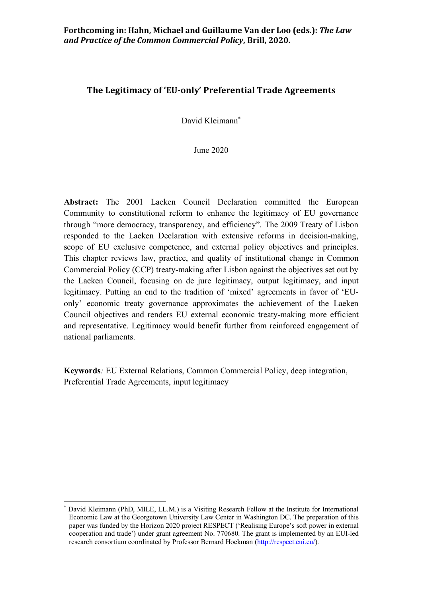# **The Legitimacy of 'EU-only' Preferential Trade Agreements**

David Kleimann\*

June 2020

**Abstract:** The 2001 Laeken Council Declaration committed the European Community to constitutional reform to enhance the legitimacy of EU governance through "more democracy, transparency, and efficiency". The 2009 Treaty of Lisbon responded to the Laeken Declaration with extensive reforms in decision-making, scope of EU exclusive competence, and external policy objectives and principles. This chapter reviews law, practice, and quality of institutional change in Common Commercial Policy (CCP) treaty-making after Lisbon against the objectives set out by the Laeken Council, focusing on de jure legitimacy, output legitimacy, and input legitimacy. Putting an end to the tradition of 'mixed' agreements in favor of 'EUonly' economic treaty governance approximates the achievement of the Laeken Council objectives and renders EU external economic treaty-making more efficient and representative. Legitimacy would benefit further from reinforced engagement of national parliaments.

**Keywords***:* EU External Relations, Common Commercial Policy, deep integration, Preferential Trade Agreements, input legitimacy

 David Kleimann (PhD, MILE, LL.M.) is a Visiting Research Fellow at the Institute for International Economic Law at the Georgetown University Law Center in Washington DC. The preparation of this paper was funded by the Horizon 2020 project RESPECT ('Realising Europe's soft power in external cooperation and trade') under grant agreement No. 770680. The grant is implemented by an EUI-led research consortium coordinated by Professor Bernard Hoekman (http://respect.eui.eu/).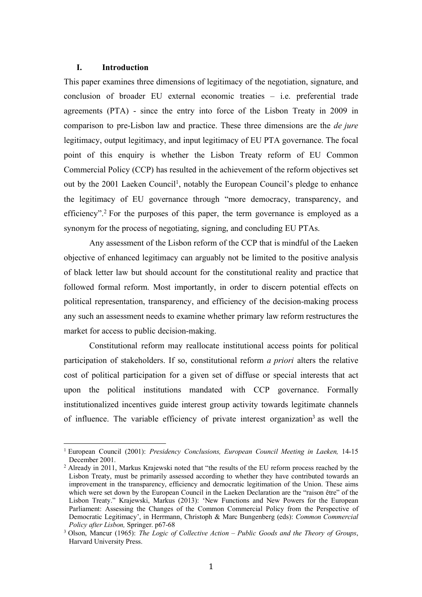## **I. Introduction**

 

This paper examines three dimensions of legitimacy of the negotiation, signature, and conclusion of broader EU external economic treaties – i.e. preferential trade agreements (PTA) - since the entry into force of the Lisbon Treaty in 2009 in comparison to pre-Lisbon law and practice. These three dimensions are the *de jure* legitimacy, output legitimacy, and input legitimacy of EU PTA governance. The focal point of this enquiry is whether the Lisbon Treaty reform of EU Common Commercial Policy (CCP) has resulted in the achievement of the reform objectives set out by the 2001 Laeken Council<sup>1</sup>, notably the European Council's pledge to enhance the legitimacy of EU governance through "more democracy, transparency, and efficiency". <sup>2</sup> For the purposes of this paper, the term governance is employed as a synonym for the process of negotiating, signing, and concluding EU PTAs.

Any assessment of the Lisbon reform of the CCP that is mindful of the Laeken objective of enhanced legitimacy can arguably not be limited to the positive analysis of black letter law but should account for the constitutional reality and practice that followed formal reform. Most importantly, in order to discern potential effects on political representation, transparency, and efficiency of the decision-making process any such an assessment needs to examine whether primary law reform restructures the market for access to public decision-making.

Constitutional reform may reallocate institutional access points for political participation of stakeholders. If so, constitutional reform *a priori* alters the relative cost of political participation for a given set of diffuse or special interests that act upon the political institutions mandated with CCP governance. Formally institutionalized incentives guide interest group activity towards legitimate channels of influence. The variable efficiency of private interest organization<sup>3</sup> as well the

<sup>&</sup>lt;sup>1</sup> European Council (2001): *Presidency Conclusions, European Council Meeting in Laeken*, 14-15 December 2001.

<sup>&</sup>lt;sup>2</sup> Already in 2011, Markus Krajewski noted that "the results of the EU reform process reached by the Lisbon Treaty, must be primarily assessed according to whether they have contributed towards an improvement in the transparency, efficiency and democratic legitimation of the Union. These aims which were set down by the European Council in the Laeken Declaration are the "raison être" of the Lisbon Treaty." Krajewski, Markus (2013): 'New Functions and New Powers for the European Parliament: Assessing the Changes of the Common Commercial Policy from the Perspective of Democratic Legitimacy', in Herrmann, Christoph & Marc Bungenberg (eds): *Common Commercial Policy after Lisbon,* Springer. p67-68

<sup>3</sup> Olson, Mancur (1965): *The Logic of Collective Action – Public Goods and the Theory of Groups*, Harvard University Press.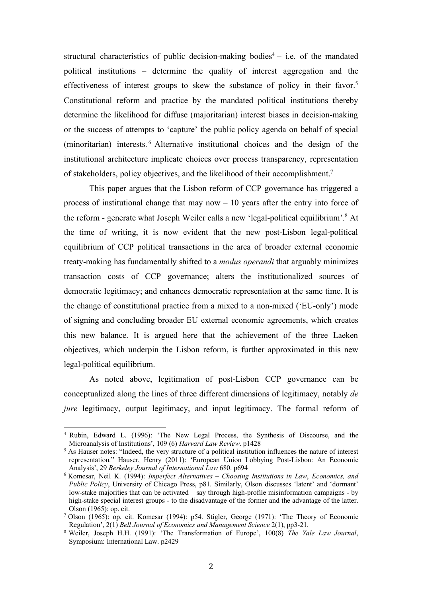structural characteristics of public decision-making bodies<sup>4</sup> – i.e. of the mandated political institutions – determine the quality of interest aggregation and the effectiveness of interest groups to skew the substance of policy in their favor.<sup>5</sup> Constitutional reform and practice by the mandated political institutions thereby determine the likelihood for diffuse (majoritarian) interest biases in decision-making or the success of attempts to 'capture' the public policy agenda on behalf of special (minoritarian) interests. <sup>6</sup> Alternative institutional choices and the design of the institutional architecture implicate choices over process transparency, representation of stakeholders, policy objectives, and the likelihood of their accomplishment.<sup>7</sup>

This paper argues that the Lisbon reform of CCP governance has triggered a process of institutional change that may now – 10 years after the entry into force of the reform - generate what Joseph Weiler calls a new 'legal-political equilibrium'. <sup>8</sup> At the time of writing, it is now evident that the new post-Lisbon legal-political equilibrium of CCP political transactions in the area of broader external economic treaty-making has fundamentally shifted to a *modus operandi* that arguably minimizes transaction costs of CCP governance; alters the institutionalized sources of democratic legitimacy; and enhances democratic representation at the same time. It is the change of constitutional practice from a mixed to a non-mixed ('EU-only') mode of signing and concluding broader EU external economic agreements, which creates this new balance. It is argued here that the achievement of the three Laeken objectives, which underpin the Lisbon reform, is further approximated in this new legal-political equilibrium.

As noted above, legitimation of post-Lisbon CCP governance can be conceptualized along the lines of three different dimensions of legitimacy, notably *de jure* legitimacy, output legitimacy, and input legitimacy. The formal reform of

<sup>4</sup> Rubin, Edward L. (1996): 'The New Legal Process, the Synthesis of Discourse, and the Microanalysis of Institutions', 109 (6) *Harvard Law Review*. p1428

<sup>&</sup>lt;sup>5</sup> As Hauser notes: "Indeed, the very structure of a political institution influences the nature of interest representation." Hauser, Henry (2011): 'European Union Lobbying Post-Lisbon: An Economic Analysis', 29 *Berkeley Journal of International Law* 680. p694

<sup>6</sup> Komesar, Neil K. (1994): *Imperfect Alternatives – Choosing Institutions in Law*, *Economics, and Public Policy*, University of Chicago Press, p81. Similarly, Olson discusses 'latent' and 'dormant' low-stake majorities that can be activated – say through high-profile misinformation campaigns - by high-stake special interest groups - to the disadvantage of the former and the advantage of the latter. Olson (1965): op. cit.

<sup>&</sup>lt;sup>7</sup> Olson (1965): op. cit. Komesar (1994): p54. Stigler, George (1971): 'The Theory of Economic Regulation', 2(1) *Bell Journal of Economics and Management Science* 2(1), pp3-21.

<sup>&</sup>lt;sup>8</sup> Weiler, Joseph H.H. (1991): 'The Transformation of Europe', 100(8) *The Yale Law Journal*, Symposium: International Law. p2429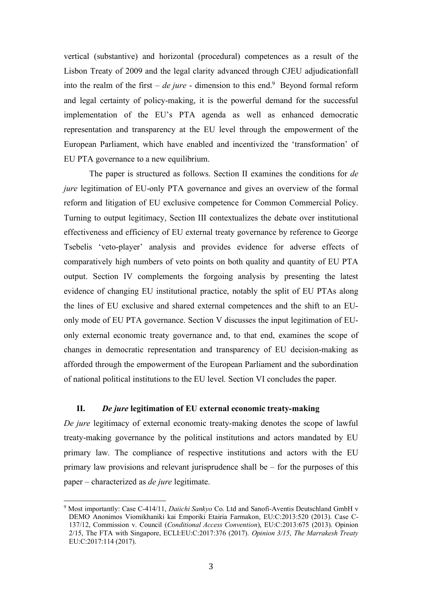vertical (substantive) and horizontal (procedural) competences as a result of the Lisbon Treaty of 2009 and the legal clarity advanced through CJEU adjudicationfall into the realm of the first  $-$  *de jure* - dimension to this end.<sup>9</sup> Beyond formal reform and legal certainty of policy-making, it is the powerful demand for the successful implementation of the EU's PTA agenda as well as enhanced democratic representation and transparency at the EU level through the empowerment of the European Parliament, which have enabled and incentivized the 'transformation' of EU PTA governance to a new equilibrium.

The paper is structured as follows. Section II examines the conditions for *de jure* legitimation of EU-only PTA governance and gives an overview of the formal reform and litigation of EU exclusive competence for Common Commercial Policy. Turning to output legitimacy, Section III contextualizes the debate over institutional effectiveness and efficiency of EU external treaty governance by reference to George Tsebelis 'veto-player' analysis and provides evidence for adverse effects of comparatively high numbers of veto points on both quality and quantity of EU PTA output. Section IV complements the forgoing analysis by presenting the latest evidence of changing EU institutional practice, notably the split of EU PTAs along the lines of EU exclusive and shared external competences and the shift to an EUonly mode of EU PTA governance. Section V discusses the input legitimation of EUonly external economic treaty governance and, to that end, examines the scope of changes in democratic representation and transparency of EU decision-making as afforded through the empowerment of the European Parliament and the subordination of national political institutions to the EU level. Section VI concludes the paper.

# **II.** *De jure* **legitimation of EU external economic treaty-making**

 

*De jure* legitimacy of external economic treaty-making denotes the scope of lawful treaty-making governance by the political institutions and actors mandated by EU primary law. The compliance of respective institutions and actors with the EU primary law provisions and relevant jurisprudence shall be – for the purposes of this paper – characterized as *de jure* legitimate.

<sup>9</sup> Most importantly: Case C-414/11, *Daiichi Sankyo* Co. Ltd and Sanofi-Aventis Deutschland GmbH v DEMO Anonimos Viomikhaniki kai Emporiki Etairia Farmakon, EU:C:2013:520 (2013). Case C-137/12, Commission v. Council (*Conditional Access Convention*), EU:C:2013:675 (2013). Opinion 2/15, The FTA with Singapore, ECLI:EU:C:2017:376 (2017). *Opinion 3/15*, *The Marrakesh Treaty* EU:C:2017:114 (2017).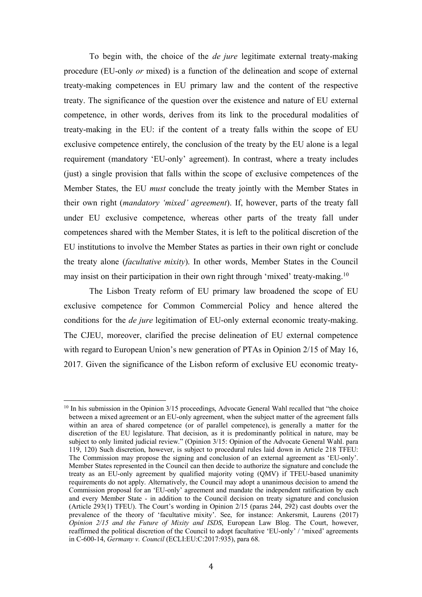To begin with, the choice of the *de jure* legitimate external treaty-making procedure (EU-only *or* mixed) is a function of the delineation and scope of external treaty-making competences in EU primary law and the content of the respective treaty. The significance of the question over the existence and nature of EU external competence, in other words, derives from its link to the procedural modalities of treaty-making in the EU: if the content of a treaty falls within the scope of EU exclusive competence entirely, the conclusion of the treaty by the EU alone is a legal requirement (mandatory 'EU-only' agreement). In contrast, where a treaty includes (just) a single provision that falls within the scope of exclusive competences of the Member States, the EU *must* conclude the treaty jointly with the Member States in their own right (*mandatory 'mixed' agreement*). If, however, parts of the treaty fall under EU exclusive competence, whereas other parts of the treaty fall under competences shared with the Member States, it is left to the political discretion of the EU institutions to involve the Member States as parties in their own right or conclude the treaty alone (*facultative mixity*). In other words, Member States in the Council may insist on their participation in their own right through 'mixed' treaty-making.10

The Lisbon Treaty reform of EU primary law broadened the scope of EU exclusive competence for Common Commercial Policy and hence altered the conditions for the *de jure* legitimation of EU-only external economic treaty-making. The CJEU, moreover, clarified the precise delineation of EU external competence with regard to European Union's new generation of PTAs in Opinion 2/15 of May 16, 2017. Given the significance of the Lisbon reform of exclusive EU economic treaty-

<sup>&</sup>lt;sup>10</sup> In his submission in the Opinion 3/15 proceedings, Advocate General Wahl recalled that "the choice" between a mixed agreement or an EU-only agreement, when the subject matter of the agreement falls within an area of shared competence (or of parallel competence), is generally a matter for the discretion of the EU legislature. That decision, as it is predominantly political in nature, may be subject to only limited judicial review." (Opinion 3/15: Opinion of the Advocate General Wahl. para 119, 120) Such discretion, however, is subject to procedural rules laid down in Article 218 TFEU: The Commission may propose the signing and conclusion of an external agreement as 'EU-only'. Member States represented in the Council can then decide to authorize the signature and conclude the treaty as an EU-only agreement by qualified majority voting (QMV) if TFEU-based unanimity requirements do not apply. Alternatively, the Council may adopt a unanimous decision to amend the Commission proposal for an 'EU-only' agreement and mandate the independent ratification by each and every Member State - in addition to the Council decision on treaty signature and conclusion (Article 293(1) TFEU). The Court's wording in Opinion 2/15 (paras 244, 292) cast doubts over the prevalence of the theory of 'facultative mixity'. See, for instance: Ankersmit, Laurens (2017) *Opinion 2/15 and the Future of Mixity and ISDS*, European Law Blog. The Court, however, reaffirmed the political discretion of the Council to adopt facultative 'EU-only' / 'mixed' agreements in C-600-14, *Germany v. Council* (ECLI:EU:C:2017:935), para 68.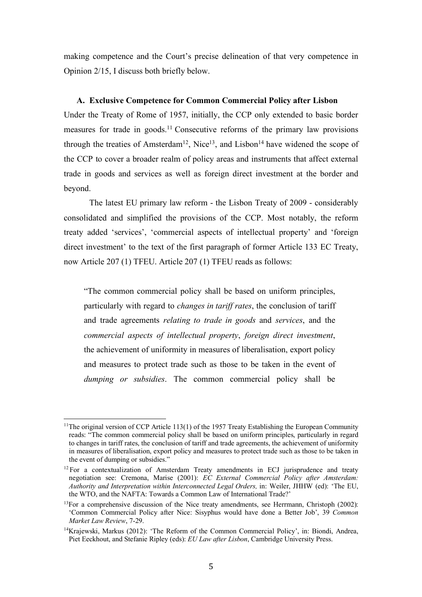making competence and the Court's precise delineation of that very competence in Opinion 2/15, I discuss both briefly below.

### **A. Exclusive Competence for Common Commercial Policy after Lisbon**

Under the Treaty of Rome of 1957, initially, the CCP only extended to basic border measures for trade in goods.<sup>11</sup> Consecutive reforms of the primary law provisions through the treaties of Amsterdam<sup>12</sup>, Nice<sup>13</sup>, and Lisbon<sup>14</sup> have widened the scope of the CCP to cover a broader realm of policy areas and instruments that affect external trade in goods and services as well as foreign direct investment at the border and beyond.

The latest EU primary law reform - the Lisbon Treaty of 2009 - considerably consolidated and simplified the provisions of the CCP. Most notably, the reform treaty added 'services', 'commercial aspects of intellectual property' and 'foreign direct investment' to the text of the first paragraph of former Article 133 EC Treaty, now Article 207 (1) TFEU. Article 207 (1) TFEU reads as follows:

"The common commercial policy shall be based on uniform principles, particularly with regard to *changes in tariff rates*, the conclusion of tariff and trade agreements *relating to trade in goods* and *services*, and the *commercial aspects of intellectual property*, *foreign direct investment*, the achievement of uniformity in measures of liberalisation, export policy and measures to protect trade such as those to be taken in the event of *dumping or subsidies*. The common commercial policy shall be

<sup>&</sup>lt;sup>11</sup>The original version of CCP Article 113(1) of the 1957 Treaty Establishing the European Community reads: "The common commercial policy shall be based on uniform principles, particularly in regard to changes in tariff rates, the conclusion of tariff and trade agreements, the achievement of uniformity in measures of liberalisation, export policy and measures to protect trade such as those to be taken in the event of dumping or subsidies."

 $12$  For a contextualization of Amsterdam Treaty amendments in ECJ jurisprudence and treaty negotiation see: Cremona, Marise (2001): *EC External Commercial Policy after Amsterdam: Authority and Interpretation within Interconnected Legal Orders,* in: Weiler, JHHW (ed): 'The EU, the WTO, and the NAFTA: Towards a Common Law of International Trade?'

 $13$ For a comprehensive discussion of the Nice treaty amendments, see Herrmann, Christoph (2002): 'Common Commercial Policy after Nice: Sisyphus would have done a Better Job', 39 *Common Market Law Review*, 7-29.

<sup>&</sup>lt;sup>14</sup>Krajewski, Markus (2012): 'The Reform of the Common Commercial Policy', in: Biondi, Andrea, Piet Eeckhout, and Stefanie Ripley (eds): *EU Law after Lisbon*, Cambridge University Press.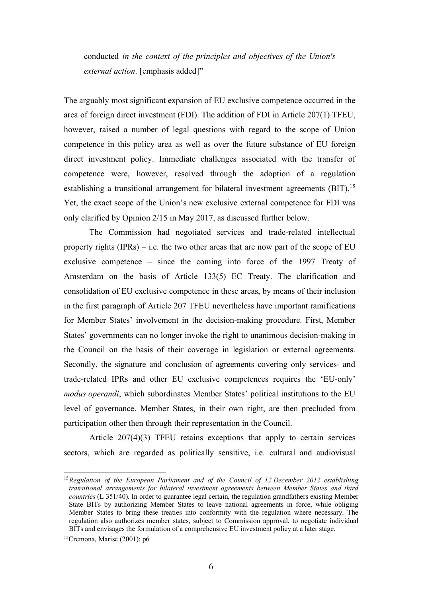conducted *in the context of the principles and objectives of the Union's external action*. [emphasis added]"

The arguably most significant expansion of EU exclusive competence occurred in the area of foreign direct investment (FDI). The addition of FDI in Article 207(1) TFEU, however, raised a number of legal questions with regard to the scope of Union competence in this policy area as well as over the future substance of EU foreign direct investment policy. Immediate challenges associated with the transfer of competence were, however, resolved through the adoption of a regulation establishing a transitional arrangement for bilateral investment agreements (BIT).<sup>15</sup> Yet, the exact scope of the Union's new exclusive external competence for FDI was only clarified by Opinion 2/15 in May 2017, as discussed further below.

The Commission had negotiated services and trade-related intellectual property rights  $(IPRs) - i.e.$  the two other areas that are now part of the scope of EU exclusive competence – since the coming into force of the 1997 Treaty of Amsterdam on the basis of Article 133(5) EC Treaty. The clarification and consolidation of EU exclusive competence in these areas, by means of their inclusion in the first paragraph of Article 207 TFEU nevertheless have important ramifications for Member States' involvement in the decision-making procedure. First, Member States' governments can no longer invoke the right to unanimous decision-making in the Council on the basis of their coverage in legislation or external agreements. Secondly, the signature and conclusion of agreements covering only services- and trade-related IPRs and other EU exclusive competences requires the 'EU-only' *modus operandi*, which subordinates Member States' political institutions to the EU level of governance. Member States, in their own right, are then precluded from participation other then through their representation in the Council.

Article 207(4)(3) TFEU retains exceptions that apply to certain services sectors, which are regarded as politically sensitive, i.e. cultural and audiovisual

<sup>15</sup>*Regulation of the European Parliament and of the Council of 12 December 2012 establishing transitional arrangements for bilateral investment agreements between Member States and third countries* (L 351/40). In order to guarantee legal certain, the regulation grandfathers existing Member State BITs by authorizing Member States to leave national agreements in force, while obliging Member States to bring these treaties into conformity with the regulation where necessary. The regulation also authorizes member states, subject to Commission approval, to negotiate individual BITs and envisages the formulation of a comprehensive EU investment policy at a later stage.

 $15$ Cremona, Marise (2001): p6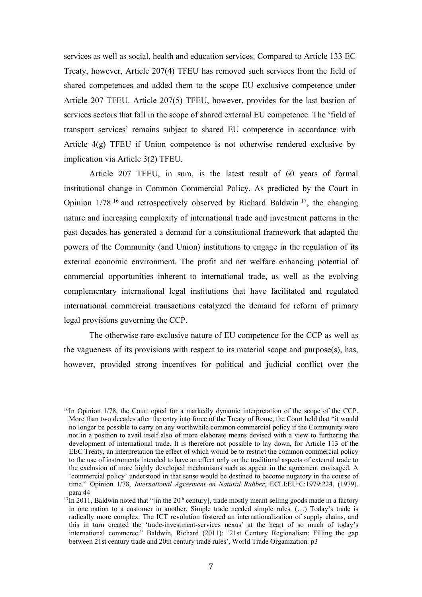services as well as social, health and education services. Compared to Article 133 EC Treaty, however, Article 207(4) TFEU has removed such services from the field of shared competences and added them to the scope EU exclusive competence under Article 207 TFEU. Article 207(5) TFEU, however, provides for the last bastion of services sectors that fall in the scope of shared external EU competence. The 'field of transport services' remains subject to shared EU competence in accordance with Article 4(g) TFEU if Union competence is not otherwise rendered exclusive by implication via Article 3(2) TFEU.

Article 207 TFEU, in sum, is the latest result of 60 years of formal institutional change in Common Commercial Policy. As predicted by the Court in Opinion  $1/78<sup>16</sup>$  and retrospectively observed by Richard Baldwin<sup>17</sup>, the changing nature and increasing complexity of international trade and investment patterns in the past decades has generated a demand for a constitutional framework that adapted the powers of the Community (and Union) institutions to engage in the regulation of its external economic environment. The profit and net welfare enhancing potential of commercial opportunities inherent to international trade, as well as the evolving complementary international legal institutions that have facilitated and regulated international commercial transactions catalyzed the demand for reform of primary legal provisions governing the CCP.

The otherwise rare exclusive nature of EU competence for the CCP as well as the vagueness of its provisions with respect to its material scope and purpose(s), has, however, provided strong incentives for political and judicial conflict over the

<sup>&</sup>lt;sup>16</sup>In Opinion 1/78, the Court opted for a markedly dynamic interpretation of the scope of the CCP. More than two decades after the entry into force of the Treaty of Rome, the Court held that "it would no longer be possible to carry on any worthwhile common commercial policy if the Community were not in a position to avail itself also of more elaborate means devised with a view to furthering the development of international trade. It is therefore not possible to lay down, for Article 113 of the EEC Treaty, an interpretation the effect of which would be to restrict the common commercial policy to the use of instruments intended to have an effect only on the traditional aspects of external trade to the exclusion of more highly developed mechanisms such as appear in the agreement envisaged. A 'commercial policy' understood in that sense would be destined to become nugatory in the course of time." Opinion 1/78, *International Agreement on Natural Rubber*, ECLI:EU:C:1979:224, (1979). para 44

 $17\text{ln}$  2011, Baldwin noted that "[in the 20<sup>th</sup> century], trade mostly meant selling goods made in a factory in one nation to a customer in another. Simple trade needed simple rules. (…) Today's trade is radically more complex. The ICT revolution fostered an internationalization of supply chains, and this in turn created the 'trade-investment-services nexus' at the heart of so much of today's international commerce." Baldwin, Richard (2011): '21st Century Regionalism: Filling the gap between 21st century trade and 20th century trade rules', World Trade Organization. p3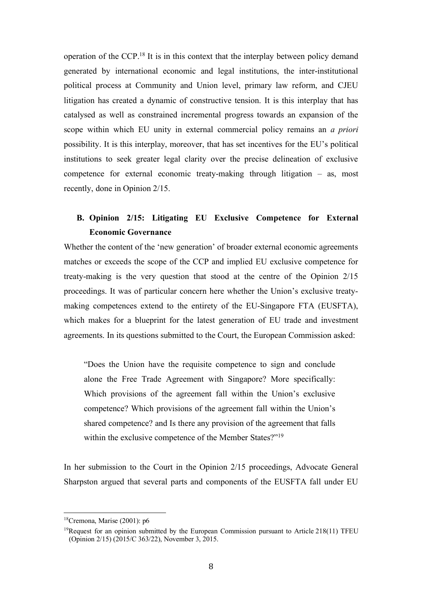operation of the CCP.18 It is in this context that the interplay between policy demand generated by international economic and legal institutions, the inter-institutional political process at Community and Union level, primary law reform, and CJEU litigation has created a dynamic of constructive tension. It is this interplay that has catalysed as well as constrained incremental progress towards an expansion of the scope within which EU unity in external commercial policy remains an *a priori* possibility. It is this interplay, moreover, that has set incentives for the EU's political institutions to seek greater legal clarity over the precise delineation of exclusive competence for external economic treaty-making through litigation – as, most recently, done in Opinion 2/15.

# **B. Opinion 2/15: Litigating EU Exclusive Competence for External Economic Governance**

Whether the content of the 'new generation' of broader external economic agreements matches or exceeds the scope of the CCP and implied EU exclusive competence for treaty-making is the very question that stood at the centre of the Opinion 2/15 proceedings. It was of particular concern here whether the Union's exclusive treatymaking competences extend to the entirety of the EU-Singapore FTA (EUSFTA), which makes for a blueprint for the latest generation of EU trade and investment agreements. In its questions submitted to the Court, the European Commission asked:

"Does the Union have the requisite competence to sign and conclude alone the Free Trade Agreement with Singapore? More specifically: Which provisions of the agreement fall within the Union's exclusive competence? Which provisions of the agreement fall within the Union's shared competence? and Is there any provision of the agreement that falls within the exclusive competence of the Member States?"19

In her submission to the Court in the Opinion 2/15 proceedings, Advocate General Sharpston argued that several parts and components of the EUSFTA fall under EU

 $18$ Cremona, Marise (2001): p6

<sup>&</sup>lt;sup>19</sup>Request for an opinion submitted by the European Commission pursuant to Article  $218(11)$  TFEU (Opinion 2/15) (2015/C 363/22), November 3, 2015.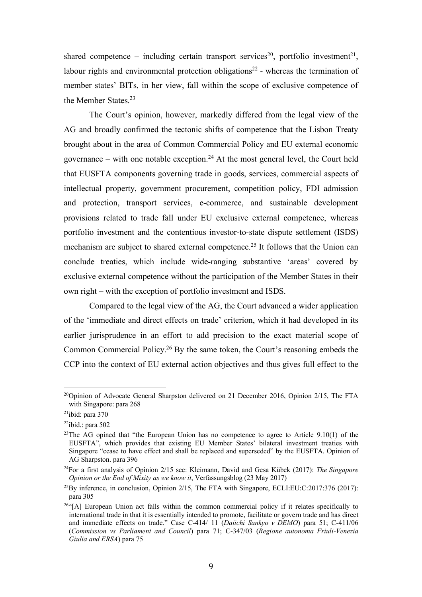shared competence – including certain transport services<sup>20</sup>, portfolio investment<sup>21</sup>, labour rights and environmental protection obligations<sup>22</sup> - whereas the termination of member states' BITs, in her view, fall within the scope of exclusive competence of the Member States.23

The Court's opinion, however, markedly differed from the legal view of the AG and broadly confirmed the tectonic shifts of competence that the Lisbon Treaty brought about in the area of Common Commercial Policy and EU external economic governance – with one notable exception.<sup>24</sup> At the most general level, the Court held that EUSFTA components governing trade in goods, services, commercial aspects of intellectual property, government procurement, competition policy, FDI admission and protection, transport services, e-commerce, and sustainable development provisions related to trade fall under EU exclusive external competence, whereas portfolio investment and the contentious investor-to-state dispute settlement (ISDS) mechanism are subject to shared external competence.25 It follows that the Union can conclude treaties, which include wide-ranging substantive 'areas' covered by exclusive external competence without the participation of the Member States in their own right – with the exception of portfolio investment and ISDS.

Compared to the legal view of the AG, the Court advanced a wider application of the 'immediate and direct effects on trade' criterion, which it had developed in its earlier jurisprudence in an effort to add precision to the exact material scope of Common Commercial Policy. <sup>26</sup> By the same token, the Court's reasoning embeds the CCP into the context of EU external action objectives and thus gives full effect to the

<sup>&</sup>lt;sup>20</sup>Opinion of Advocate General Sharpston delivered on 21 December 2016, Opinion 2/15, The FTA with Singapore: para 268

 $21$ ibid: para 370

 $22$ ibid.: para 502

<sup>&</sup>lt;sup>23</sup>The AG opined that "the European Union has no competence to agree to Article  $9.10(1)$  of the EUSFTA", which provides that existing EU Member States' bilateral investment treaties with Singapore "cease to have effect and shall be replaced and superseded" by the EUSFTA. Opinion of AG Sharpston. para 396

<sup>24</sup>For a first analysis of Opinion 2/15 see: Kleimann, David and Gesa Kübek (2017): *The Singapore Opinion or the End of Mixity as we know it*, Verfassungsblog (23 May 2017)

<sup>&</sup>lt;sup>25</sup>By inference, in conclusion, Opinion 2/15, The FTA with Singapore, ECLI:EU:C:2017:376 (2017): para 305

 $26\cdot$ [A] European Union act falls within the common commercial policy if it relates specifically to international trade in that it is essentially intended to promote, facilitate or govern trade and has direct and immediate effects on trade." Case C-414/ 11 (*Daiichi Sankyo v DEMO*) para 51; C-411/06 (*Commission vs Parliament and Council*) para 71; C-347/03 (*Regione autonoma Friuli-Venezia Giulia and ERSA*) para 75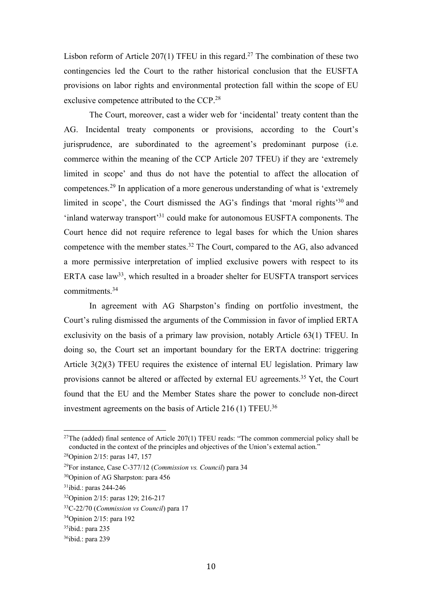Lisbon reform of Article 207(1) TFEU in this regard.<sup>27</sup> The combination of these two contingencies led the Court to the rather historical conclusion that the EUSFTA provisions on labor rights and environmental protection fall within the scope of EU exclusive competence attributed to the CCP.28

The Court, moreover, cast a wider web for 'incidental' treaty content than the AG. Incidental treaty components or provisions, according to the Court's jurisprudence, are subordinated to the agreement's predominant purpose (i.e. commerce within the meaning of the CCP Article 207 TFEU) if they are 'extremely limited in scope' and thus do not have the potential to affect the allocation of competences.29 In application of a more generous understanding of what is 'extremely limited in scope', the Court dismissed the AG's findings that 'moral rights'30 and 'inland waterway transport'31 could make for autonomous EUSFTA components. The Court hence did not require reference to legal bases for which the Union shares competence with the member states. <sup>32</sup> The Court, compared to the AG, also advanced a more permissive interpretation of implied exclusive powers with respect to its ERTA case law<sup>33</sup>, which resulted in a broader shelter for EUSFTA transport services commitments.34

In agreement with AG Sharpston's finding on portfolio investment, the Court's ruling dismissed the arguments of the Commission in favor of implied ERTA exclusivity on the basis of a primary law provision, notably Article 63(1) TFEU. In doing so, the Court set an important boundary for the ERTA doctrine: triggering Article 3(2)(3) TFEU requires the existence of internal EU legislation. Primary law provisions cannot be altered or affected by external EU agreements.<sup>35</sup> Yet, the Court found that the EU and the Member States share the power to conclude non-direct investment agreements on the basis of Article 216 (1) TFEU.<sup>36</sup>

<sup>&</sup>lt;sup>27</sup>The (added) final sentence of Article 207(1) TFEU reads: "The common commercial policy shall be conducted in the context of the principles and objectives of the Union's external action."

<sup>28</sup>Opinion 2/15: paras 147, 157

<sup>29</sup>For instance, Case C-377/12 (*Commission vs. Council*) para 34

<sup>30</sup>Opinion of AG Sharpston: para 456

<sup>31</sup>ibid.: paras 244-246

<sup>32</sup>Opinion 2/15: paras 129; 216-217

<sup>33</sup>C-22/70 (*Commission vs Council*) para 17

<sup>34</sup>Opinion 2/15: para 192

 $35$ ibid.: para 235

<sup>36</sup>ibid.: para 239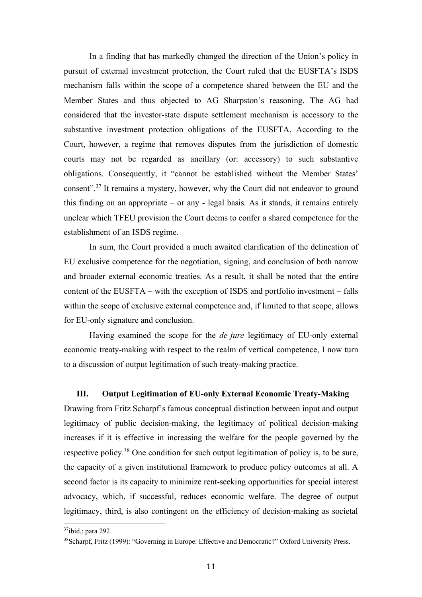In a finding that has markedly changed the direction of the Union's policy in pursuit of external investment protection, the Court ruled that the EUSFTA's ISDS mechanism falls within the scope of a competence shared between the EU and the Member States and thus objected to AG Sharpston's reasoning. The AG had considered that the investor-state dispute settlement mechanism is accessory to the substantive investment protection obligations of the EUSFTA. According to the Court, however, a regime that removes disputes from the jurisdiction of domestic courts may not be regarded as ancillary (or: accessory) to such substantive obligations. Consequently, it "cannot be established without the Member States' consent". <sup>37</sup> It remains a mystery, however, why the Court did not endeavor to ground this finding on an appropriate – or any - legal basis. As it stands, it remains entirely unclear which TFEU provision the Court deems to confer a shared competence for the establishment of an ISDS regime.

In sum, the Court provided a much awaited clarification of the delineation of EU exclusive competence for the negotiation, signing, and conclusion of both narrow and broader external economic treaties. As a result, it shall be noted that the entire content of the EUSFTA – with the exception of ISDS and portfolio investment – falls within the scope of exclusive external competence and, if limited to that scope, allows for EU-only signature and conclusion.

Having examined the scope for the *de jure* legitimacy of EU-only external economic treaty-making with respect to the realm of vertical competence, I now turn to a discussion of output legitimation of such treaty-making practice.

#### **III. Output Legitimation of EU-only External Economic Treaty-Making**

Drawing from Fritz Scharpf's famous conceptual distinction between input and output legitimacy of public decision-making, the legitimacy of political decision-making increases if it is effective in increasing the welfare for the people governed by the respective policy.<sup>38</sup> One condition for such output legitimation of policy is, to be sure, the capacity of a given institutional framework to produce policy outcomes at all. A second factor is its capacity to minimize rent-seeking opportunities for special interest advocacy, which, if successful, reduces economic welfare. The degree of output legitimacy, third, is also contingent on the efficiency of decision-making as societal

 $37$ ibid.: para 292

<sup>&</sup>lt;sup>38</sup>Scharpf, Fritz (1999): "Governing in Europe: Effective and Democratic?" Oxford University Press.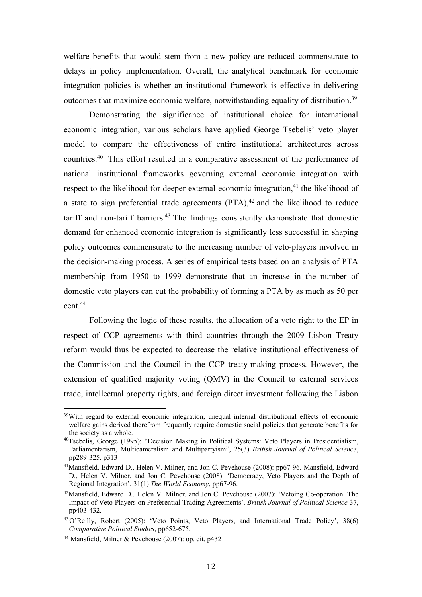welfare benefits that would stem from a new policy are reduced commensurate to delays in policy implementation. Overall, the analytical benchmark for economic integration policies is whether an institutional framework is effective in delivering outcomes that maximize economic welfare, notwithstanding equality of distribution.39

Demonstrating the significance of institutional choice for international economic integration, various scholars have applied George Tsebelis' veto player model to compare the effectiveness of entire institutional architectures across countries.40 This effort resulted in a comparative assessment of the performance of national institutional frameworks governing external economic integration with respect to the likelihood for deeper external economic integration,<sup>41</sup> the likelihood of a state to sign preferential trade agreements  $(PTA)$ ,<sup>42</sup> and the likelihood to reduce tariff and non-tariff barriers. $43$  The findings consistently demonstrate that domestic demand for enhanced economic integration is significantly less successful in shaping policy outcomes commensurate to the increasing number of veto-players involved in the decision-making process. A series of empirical tests based on an analysis of PTA membership from 1950 to 1999 demonstrate that an increase in the number of domestic veto players can cut the probability of forming a PTA by as much as 50 per cent.<sup>44</sup>

Following the logic of these results, the allocation of a veto right to the EP in respect of CCP agreements with third countries through the 2009 Lisbon Treaty reform would thus be expected to decrease the relative institutional effectiveness of the Commission and the Council in the CCP treaty-making process. However, the extension of qualified majority voting (QMV) in the Council to external services trade, intellectual property rights, and foreign direct investment following the Lisbon

<sup>&</sup>lt;sup>39</sup>With regard to external economic integration, unequal internal distributional effects of economic welfare gains derived therefrom frequently require domestic social policies that generate benefits for the society as a whole.

<sup>40</sup>Tsebelis, George (1995): "Decision Making in Political Systems: Veto Players in Presidentialism, Parliamentarism, Multicameralism and Multipartyism", 25(3) *British Journal of Political Science*, pp289-325. p313

<sup>41</sup>Mansfield, Edward D., Helen V. Milner, and Jon C. Pevehouse (2008): pp67-96. Mansfield, Edward D., Helen V. Milner, and Jon C. Pevehouse (2008): 'Democracy, Veto Players and the Depth of Regional Integration', 31(1) *The World Economy*, pp67-96.

<sup>42</sup>Mansfield, Edward D., Helen V. Milner, and Jon C. Pevehouse (2007): 'Vetoing Co-operation: The Impact of Veto Players on Preferential Trading Agreements', *British Journal of Political Science* 37, pp403-432.

<sup>43</sup>O'Reilly, Robert (2005): 'Veto Points, Veto Players, and International Trade Policy', 38(6) *Comparative Political Studies*, pp652-675.

<sup>44</sup> Mansfield, Milner & Pevehouse (2007): op. cit. p432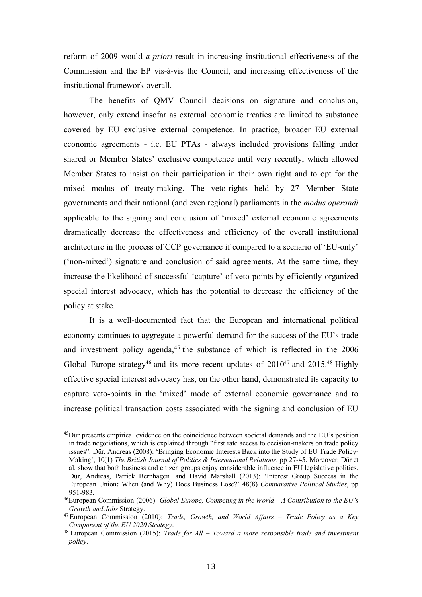reform of 2009 would *a priori* result in increasing institutional effectiveness of the Commission and the EP vis-à-vis the Council, and increasing effectiveness of the institutional framework overall.

The benefits of QMV Council decisions on signature and conclusion, however, only extend insofar as external economic treaties are limited to substance covered by EU exclusive external competence. In practice, broader EU external economic agreements - i.e. EU PTAs - always included provisions falling under shared or Member States' exclusive competence until very recently, which allowed Member States to insist on their participation in their own right and to opt for the mixed modus of treaty-making. The veto-rights held by 27 Member State governments and their national (and even regional) parliaments in the *modus operandi* applicable to the signing and conclusion of 'mixed' external economic agreements dramatically decrease the effectiveness and efficiency of the overall institutional architecture in the process of CCP governance if compared to a scenario of 'EU-only' ('non-mixed') signature and conclusion of said agreements. At the same time, they increase the likelihood of successful 'capture' of veto-points by efficiently organized special interest advocacy, which has the potential to decrease the efficiency of the policy at stake.

It is a well-documented fact that the European and international political economy continues to aggregate a powerful demand for the success of the EU's trade and investment policy agenda, $45$  the substance of which is reflected in the 2006 Global Europe strategy<sup>46</sup> and its more recent updates of  $2010^{47}$  and  $2015^{48}$  Highly effective special interest advocacy has, on the other hand, demonstrated its capacity to capture veto-points in the 'mixed' mode of external economic governance and to increase political transaction costs associated with the signing and conclusion of EU

<sup>&</sup>lt;sup>45</sup>Dür presents empirical evidence on the coincidence between societal demands and the EU's position in trade negotiations, which is explained through "first rate access to decision-makers on trade policy issues". Dür, Andreas (2008): 'Bringing Economic Interests Back into the Study of EU Trade Policy‐ Making', 10(1) *The British Journal of Politics & International Relations*. pp 27-45. Moreover, Dür et al. show that both business and citizen groups enjoy considerable influence in EU legislative politics. Dür, Andreas, Patrick Bernhagen and David Marshall (2013): 'Interest Group Success in the European Union**:** When (and Why) Does Business Lose?' 48(8) *Comparative Political Studies*, pp 951-983.

<sup>46</sup>European Commission (2006): *Global Europe, Competing in the World – A Contribution to the EU's Growth and Jobs* Strategy.

<sup>47</sup> European Commission (2010): *Trade, Growth, and World Affairs – Trade Policy as a Key Component of the EU 2020 Strategy*.

<sup>48</sup> European Commission (2015): *Trade for All – Toward a more responsible trade and investment policy*.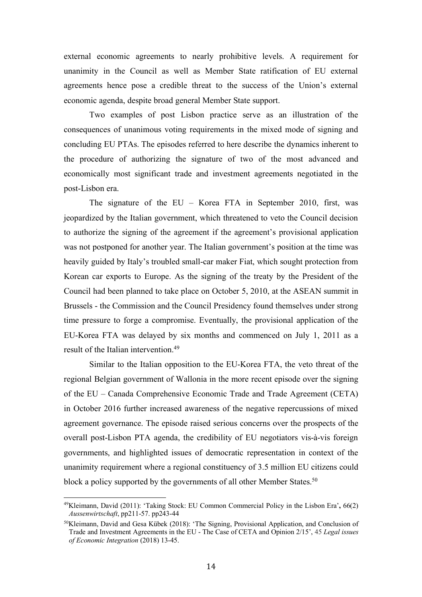external economic agreements to nearly prohibitive levels. A requirement for unanimity in the Council as well as Member State ratification of EU external agreements hence pose a credible threat to the success of the Union's external economic agenda, despite broad general Member State support.

Two examples of post Lisbon practice serve as an illustration of the consequences of unanimous voting requirements in the mixed mode of signing and concluding EU PTAs. The episodes referred to here describe the dynamics inherent to the procedure of authorizing the signature of two of the most advanced and economically most significant trade and investment agreements negotiated in the post-Lisbon era.

The signature of the EU – Korea FTA in September 2010, first, was jeopardized by the Italian government, which threatened to veto the Council decision to authorize the signing of the agreement if the agreement's provisional application was not postponed for another year. The Italian government's position at the time was heavily guided by Italy's troubled small-car maker Fiat, which sought protection from Korean car exports to Europe. As the signing of the treaty by the President of the Council had been planned to take place on October 5, 2010, at the ASEAN summit in Brussels - the Commission and the Council Presidency found themselves under strong time pressure to forge a compromise. Eventually, the provisional application of the EU-Korea FTA was delayed by six months and commenced on July 1, 2011 as a result of the Italian intervention. 49

Similar to the Italian opposition to the EU-Korea FTA, the veto threat of the regional Belgian government of Wallonia in the more recent episode over the signing of the EU – Canada Comprehensive Economic Trade and Trade Agreement (CETA) in October 2016 further increased awareness of the negative repercussions of mixed agreement governance. The episode raised serious concerns over the prospects of the overall post-Lisbon PTA agenda, the credibility of EU negotiators vis-à-vis foreign governments, and highlighted issues of democratic representation in context of the unanimity requirement where a regional constituency of 3.5 million EU citizens could block a policy supported by the governments of all other Member States.<sup>50</sup>

<sup>49</sup>Kleimann, David (2011): 'Taking Stock: EU Common Commercial Policy in the Lisbon Era'**,** 66(2) *Aussenwirtschaft*, pp211-57. pp243-44

<sup>50</sup>Kleimann, David and Gesa Kübek (2018): 'The Signing, Provisional Application, and Conclusion of Trade and Investment Agreements in the EU - The Case of CETA and Opinion 2/15', 45 *Legal issues of Economic Integration* (2018) 13-45.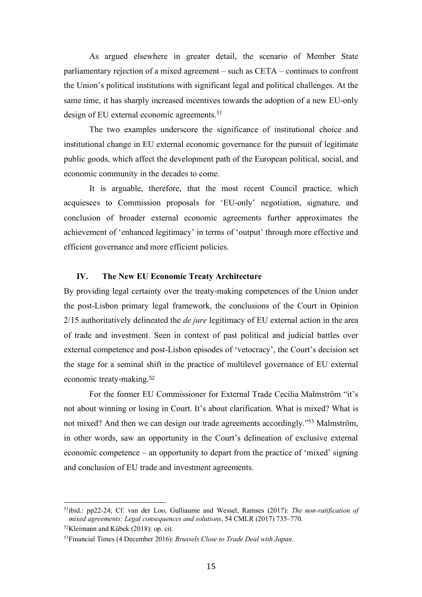As argued elsewhere in greater detail, the scenario of Member State parliamentary rejection of a mixed agreement – such as CETA – continues to confront the Union's political institutions with significant legal and political challenges. At the same time, it has sharply increased incentives towards the adoption of a new EU-only design of EU external economic agreements.<sup>51</sup>

The two examples underscore the significance of institutional choice and institutional change in EU external economic governance for the pursuit of legitimate public goods, which affect the development path of the European political, social, and economic community in the decades to come.

It is arguable, therefore, that the most recent Council practice, which acquiesces to Commission proposals for 'EU-only' negotiation, signature, and conclusion of broader external economic agreements further approximates the achievement of 'enhanced legitimacy' in terms of 'output' through more effective and efficient governance and more efficient policies.

# **IV. The New EU Economic Treaty Architecture**

By providing legal certainty over the treaty-making competences of the Union under the post-Lisbon primary legal framework, the conclusions of the Court in Opinion 2/15 authoritatively delineated the *de jure* legitimacy of EU external action in the area of trade and investment. Seen in context of past political and judicial battles over external competence and post-Lisbon episodes of 'vetocracy', the Court's decision set the stage for a seminal shift in the practice of multilevel governance of EU external economic treaty-making.<sup>52</sup>

For the former EU Commissioner for External Trade Cecilia Malmström "it's not about winning or losing in Court. It's about clarification. What is mixed? What is not mixed? And then we can design our trade agreements accordingly."53 Malmström, in other words, saw an opportunity in the Court's delineation of exclusive external economic competence – an opportunity to depart from the practice of 'mixed' signing and conclusion of EU trade and investment agreements.

<sup>51</sup>ibid.: pp22-24; Cf. van der Loo, Gulliaume and Wessel, Ramses (2017): *The non-ratification of mixed agreements: Legal consequences and solutions*, 54 CMLR (2017) 735–770.  $52$ Kleimann and Kübek (2018): op. cit.

<sup>53</sup>Financial Times (4 December 2016): *Brussels Close to Trade Deal with Japan*.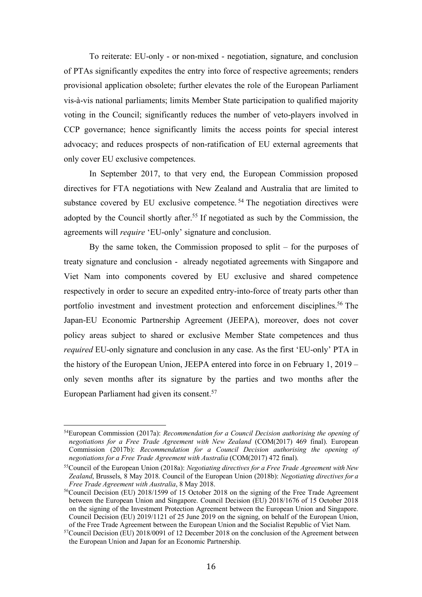To reiterate: EU-only - or non-mixed - negotiation, signature, and conclusion of PTAs significantly expedites the entry into force of respective agreements; renders provisional application obsolete; further elevates the role of the European Parliament vis-à-vis national parliaments; limits Member State participation to qualified majority voting in the Council; significantly reduces the number of veto-players involved in CCP governance; hence significantly limits the access points for special interest advocacy; and reduces prospects of non-ratification of EU external agreements that only cover EU exclusive competences.

In September 2017, to that very end, the European Commission proposed directives for FTA negotiations with New Zealand and Australia that are limited to substance covered by EU exclusive competence.<sup>54</sup> The negotiation directives were adopted by the Council shortly after.<sup>55</sup> If negotiated as such by the Commission, the agreements will *require* 'EU-only' signature and conclusion.

By the same token, the Commission proposed to split – for the purposes of treaty signature and conclusion - already negotiated agreements with Singapore and Viet Nam into components covered by EU exclusive and shared competence respectively in order to secure an expedited entry-into-force of treaty parts other than portfolio investment and investment protection and enforcement disciplines.<sup>56</sup> The Japan-EU Economic Partnership Agreement (JEEPA), moreover, does not cover policy areas subject to shared or exclusive Member State competences and thus *required* EU-only signature and conclusion in any case. As the first 'EU-only' PTA in the history of the European Union, JEEPA entered into force in on February 1, 2019 – only seven months after its signature by the parties and two months after the European Parliament had given its consent.<sup>57</sup>

<sup>54</sup>European Commission (2017a): *Recommendation for a Council Decision authorising the opening of negotiations for a Free Trade Agreement with New Zealand* (COM(2017) 469 final). European Commission (2017b): *Recommendation for a Council Decision authorising the opening of negotiations for a Free Trade Agreement with Australia* (COM(2017) 472 final).

<sup>55</sup>Council of the European Union (2018a): *Negotiating directives for a Free Trade Agreement with New Zealand*, Brussels, 8 May 2018. Council of the European Union (2018b): *Negotiating directives for a Free Trade Agreement with Australia*, 8 May 2018.

<sup>56</sup>Council Decision (EU) 2018/1599 of 15 October 2018 on the signing of the Free Trade Agreement between the European Union and Singapore. Council Decision (EU) 2018/1676 of 15 October 2018 on the signing of the Investment Protection Agreement between the European Union and Singapore. Council Decision (EU) 2019/1121 of 25 June 2019 on the signing, on behalf of the European Union, of the Free Trade Agreement between the European Union and the Socialist Republic of Viet Nam.

 $57$ Council Decision (EU) 2018/0091 of 12 December 2018 on the conclusion of the Agreement between the European Union and Japan for an Economic Partnership.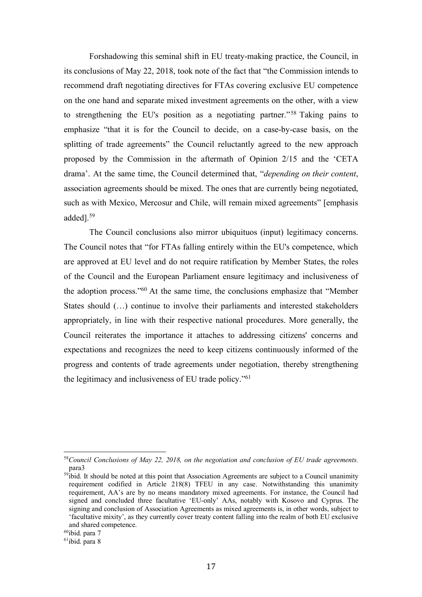Forshadowing this seminal shift in EU treaty-making practice, the Council, in its conclusions of May 22, 2018, took note of the fact that "the Commission intends to recommend draft negotiating directives for FTAs covering exclusive EU competence on the one hand and separate mixed investment agreements on the other, with a view to strengthening the EU's position as a negotiating partner."58 Taking pains to emphasize "that it is for the Council to decide, on a case-by-case basis, on the splitting of trade agreements" the Council reluctantly agreed to the new approach proposed by the Commission in the aftermath of Opinion 2/15 and the 'CETA drama'. At the same time, the Council determined that, "*depending on their content*, association agreements should be mixed. The ones that are currently being negotiated, such as with Mexico, Mercosur and Chile, will remain mixed agreements" [emphasis added].59

The Council conclusions also mirror ubiquituos (input) legitimacy concerns. The Council notes that "for FTAs falling entirely within the EU's competence, which are approved at EU level and do not require ratification by Member States, the roles of the Council and the European Parliament ensure legitimacy and inclusiveness of the adoption process."60 At the same time, the conclusions emphasize that "Member States should (…) continue to involve their parliaments and interested stakeholders appropriately, in line with their respective national procedures. More generally, the Council reiterates the importance it attaches to addressing citizens' concerns and expectations and recognizes the need to keep citizens continuously informed of the progress and contents of trade agreements under negotiation, thereby strengthening the legitimacy and inclusiveness of EU trade policy."61

<sup>58</sup>*Council Conclusions of May 22, 2018, on the negotiation and conclusion of EU trade agreements.* para3

<sup>&</sup>lt;sup>59</sup>ibid. It should be noted at this point that Association Agreements are subject to a Council unanimity requirement codified in Article 218(8) TFEU in any case. Notwithstanding this unanimity requirement, AA's are by no means mandatory mixed agreements. For instance, the Council had signed and concluded three facultative 'EU-only' AAs, notably with Kosovo and Cyprus. The signing and conclusion of Association Agreements as mixed agreements is, in other words, subject to 'facultative mixity', as they currently cover treaty content falling into the realm of both EU exclusive and shared competence.

 $60$ ibid. para  $7$ 

 $61$ ibid. para 8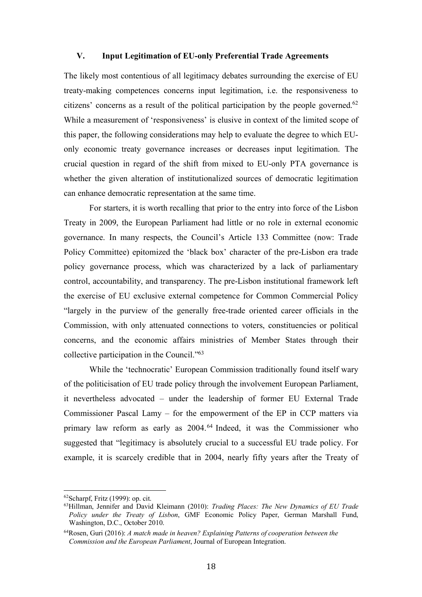## **V. Input Legitimation of EU-only Preferential Trade Agreements**

The likely most contentious of all legitimacy debates surrounding the exercise of EU treaty-making competences concerns input legitimation, i.e. the responsiveness to citizens' concerns as a result of the political participation by the people governed. 62 While a measurement of 'responsiveness' is elusive in context of the limited scope of this paper, the following considerations may help to evaluate the degree to which EUonly economic treaty governance increases or decreases input legitimation. The crucial question in regard of the shift from mixed to EU-only PTA governance is whether the given alteration of institutionalized sources of democratic legitimation can enhance democratic representation at the same time.

For starters, it is worth recalling that prior to the entry into force of the Lisbon Treaty in 2009, the European Parliament had little or no role in external economic governance. In many respects, the Council's Article 133 Committee (now: Trade Policy Committee) epitomized the 'black box' character of the pre-Lisbon era trade policy governance process, which was characterized by a lack of parliamentary control, accountability, and transparency. The pre-Lisbon institutional framework left the exercise of EU exclusive external competence for Common Commercial Policy "largely in the purview of the generally free-trade oriented career officials in the Commission, with only attenuated connections to voters, constituencies or political concerns, and the economic affairs ministries of Member States through their collective participation in the Council."63

While the 'technocratic' European Commission traditionally found itself wary of the politicisation of EU trade policy through the involvement European Parliament, it nevertheless advocated – under the leadership of former EU External Trade Commissioner Pascal Lamy – for the empowerment of the EP in CCP matters via primary law reform as early as 2004.<sup>64</sup> Indeed, it was the Commissioner who suggested that "legitimacy is absolutely crucial to a successful EU trade policy. For example, it is scarcely credible that in 2004, nearly fifty years after the Treaty of

 $62$ Scharpf, Fritz (1999): op. cit.

<sup>63</sup>Hillman, Jennifer and David Kleimann (2010): *Trading Places: The New Dynamics of EU Trade Policy under the Treaty of Lisbon*, GMF Economic Policy Paper, German Marshall Fund, Washington, D.C., October 2010.

<sup>64</sup>Rosen, Guri (2016): *A match made in heaven? Explaining Patterns of cooperation between the Commission and the European Parliament*, Journal of European Integration.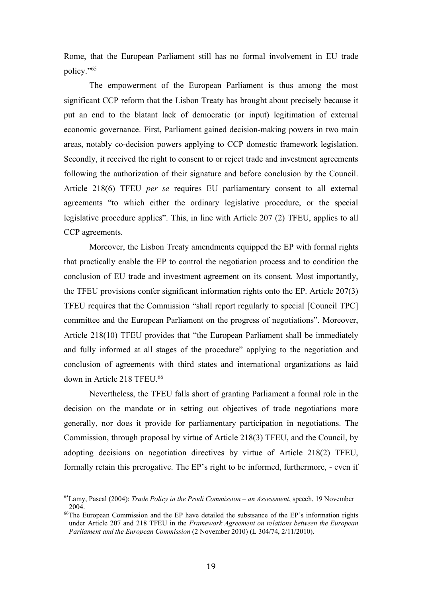Rome, that the European Parliament still has no formal involvement in EU trade policy."65

The empowerment of the European Parliament is thus among the most significant CCP reform that the Lisbon Treaty has brought about precisely because it put an end to the blatant lack of democratic (or input) legitimation of external economic governance. First, Parliament gained decision-making powers in two main areas, notably co-decision powers applying to CCP domestic framework legislation. Secondly, it received the right to consent to or reject trade and investment agreements following the authorization of their signature and before conclusion by the Council. Article 218(6) TFEU *per se* requires EU parliamentary consent to all external agreements "to which either the ordinary legislative procedure, or the special legislative procedure applies". This, in line with Article 207 (2) TFEU, applies to all CCP agreements.

Moreover, the Lisbon Treaty amendments equipped the EP with formal rights that practically enable the EP to control the negotiation process and to condition the conclusion of EU trade and investment agreement on its consent. Most importantly, the TFEU provisions confer significant information rights onto the EP. Article 207(3) TFEU requires that the Commission "shall report regularly to special [Council TPC] committee and the European Parliament on the progress of negotiations". Moreover, Article 218(10) TFEU provides that "the European Parliament shall be immediately and fully informed at all stages of the procedure" applying to the negotiation and conclusion of agreements with third states and international organizations as laid down in Article 218 TFEU.<sup>66</sup>

Nevertheless, the TFEU falls short of granting Parliament a formal role in the decision on the mandate or in setting out objectives of trade negotiations more generally, nor does it provide for parliamentary participation in negotiations. The Commission, through proposal by virtue of Article 218(3) TFEU, and the Council, by adopting decisions on negotiation directives by virtue of Article 218(2) TFEU, formally retain this prerogative. The EP's right to be informed, furthermore, - even if

<sup>65</sup>Lamy, Pascal (2004): *Trade Policy in the Prodi Commission – an Assessment*, speech, 19 November 2004.

<sup>&</sup>lt;sup>66</sup>The European Commission and the EP have detailed the substsance of the EP's information rights under Article 207 and 218 TFEU in the *Framework Agreement on relations between the European Parliament and the European Commission* (2 November 2010) (L 304/74, 2/11/2010).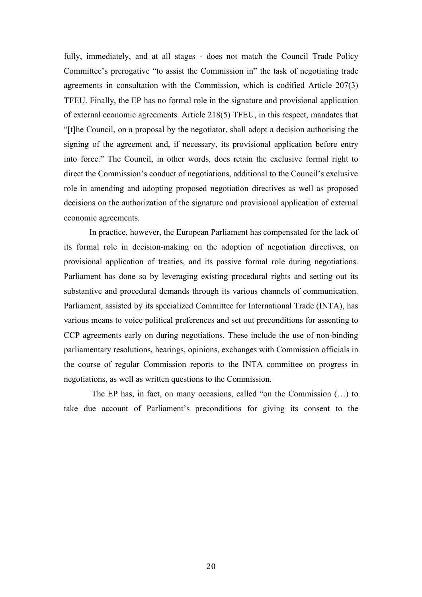fully, immediately, and at all stages - does not match the Council Trade Policy Committee's prerogative "to assist the Commission in" the task of negotiating trade agreements in consultation with the Commission, which is codified Article 207(3) TFEU. Finally, the EP has no formal role in the signature and provisional application of external economic agreements. Article 218(5) TFEU, in this respect, mandates that "[t]he Council, on a proposal by the negotiator, shall adopt a decision authorising the signing of the agreement and, if necessary, its provisional application before entry into force." The Council, in other words, does retain the exclusive formal right to direct the Commission's conduct of negotiations, additional to the Council's exclusive role in amending and adopting proposed negotiation directives as well as proposed decisions on the authorization of the signature and provisional application of external economic agreements.

In practice, however, the European Parliament has compensated for the lack of its formal role in decision-making on the adoption of negotiation directives, on provisional application of treaties, and its passive formal role during negotiations. Parliament has done so by leveraging existing procedural rights and setting out its substantive and procedural demands through its various channels of communication. Parliament, assisted by its specialized Committee for International Trade (INTA), has various means to voice political preferences and set out preconditions for assenting to CCP agreements early on during negotiations. These include the use of non-binding parliamentary resolutions, hearings, opinions, exchanges with Commission officials in the course of regular Commission reports to the INTA committee on progress in negotiations, as well as written questions to the Commission.

The EP has, in fact, on many occasions, called "on the Commission (…) to take due account of Parliament's preconditions for giving its consent to the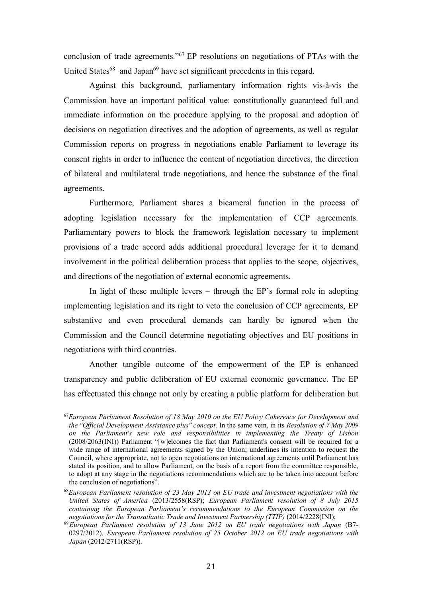conclusion of trade agreements."67 EP resolutions on negotiations of PTAs with the United States<sup>68</sup> and Japan<sup>69</sup> have set significant precedents in this regard.

Against this background, parliamentary information rights vis-à-vis the Commission have an important political value: constitutionally guaranteed full and immediate information on the procedure applying to the proposal and adoption of decisions on negotiation directives and the adoption of agreements, as well as regular Commission reports on progress in negotiations enable Parliament to leverage its consent rights in order to influence the content of negotiation directives, the direction of bilateral and multilateral trade negotiations, and hence the substance of the final agreements.

Furthermore, Parliament shares a bicameral function in the process of adopting legislation necessary for the implementation of CCP agreements. Parliamentary powers to block the framework legislation necessary to implement provisions of a trade accord adds additional procedural leverage for it to demand involvement in the political deliberation process that applies to the scope, objectives, and directions of the negotiation of external economic agreements.

In light of these multiple levers – through the EP's formal role in adopting implementing legislation and its right to veto the conclusion of CCP agreements, EP substantive and even procedural demands can hardly be ignored when the Commission and the Council determine negotiating objectives and EU positions in negotiations with third countries.

Another tangible outcome of the empowerment of the EP is enhanced transparency and public deliberation of EU external economic governance. The EP has effectuated this change not only by creating a public platform for deliberation but

<sup>67</sup>*European Parliament Resolution of 18 May 2010 on the EU Policy Coherence for Development and the "Official Development Assistance plus" concept*. In the same vein, in its *Resolution of 7 May 2009 on the Parliament's new role and responsibilities in implementing the Treaty of Lisbon* (2008/2063(INI)) Parliament "[w]elcomes the fact that Parliament's consent will be required for a wide range of international agreements signed by the Union; underlines its intention to request the Council, where appropriate, not to open negotiations on international agreements until Parliament has stated its position, and to allow Parliament, on the basis of a report from the committee responsible, to adopt at any stage in the negotiations recommendations which are to be taken into account before the conclusion of negotiations".

<sup>68</sup>*European Parliament resolution of 23 May 2013 on EU trade and investment negotiations with the United States of America* (2013/2558(RSP); *European Parliament resolution of 8 July 2015 containing the European Parliament's recommendations to the European Commission on the* 

*negotiations for the Transatlantic Trade and Investment Partnership (TTIP)* (2014/2228(INI); 69*European Parliament resolution of 13 June 2012 on EU trade negotiations with Japan* (B7- 0297/2012). *European Parliament resolution of 25 October 2012 on EU trade negotiations with Japan* (2012/2711(RSP)).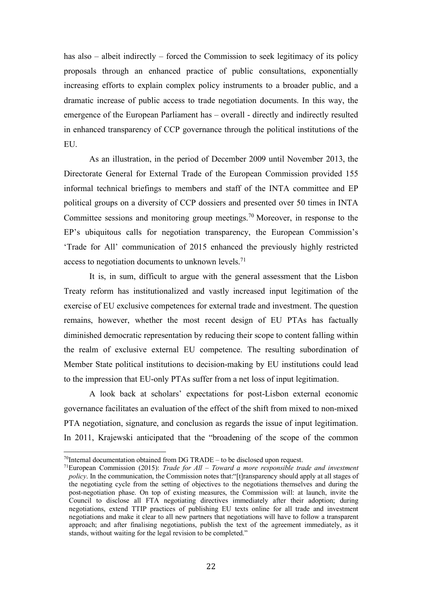has also – albeit indirectly – forced the Commission to seek legitimacy of its policy proposals through an enhanced practice of public consultations, exponentially increasing efforts to explain complex policy instruments to a broader public, and a dramatic increase of public access to trade negotiation documents. In this way, the emergence of the European Parliament has – overall - directly and indirectly resulted in enhanced transparency of CCP governance through the political institutions of the EU.

As an illustration, in the period of December 2009 until November 2013, the Directorate General for External Trade of the European Commission provided 155 informal technical briefings to members and staff of the INTA committee and EP political groups on a diversity of CCP dossiers and presented over 50 times in INTA Committee sessions and monitoring group meetings.<sup>70</sup> Moreover, in response to the EP's ubiquitous calls for negotiation transparency, the European Commission's 'Trade for All' communication of 2015 enhanced the previously highly restricted access to negotiation documents to unknown levels.<sup>71</sup>

It is, in sum, difficult to argue with the general assessment that the Lisbon Treaty reform has institutionalized and vastly increased input legitimation of the exercise of EU exclusive competences for external trade and investment. The question remains, however, whether the most recent design of EU PTAs has factually diminished democratic representation by reducing their scope to content falling within the realm of exclusive external EU competence. The resulting subordination of Member State political institutions to decision-making by EU institutions could lead to the impression that EU-only PTAs suffer from a net loss of input legitimation.

A look back at scholars' expectations for post-Lisbon external economic governance facilitates an evaluation of the effect of the shift from mixed to non-mixed PTA negotiation, signature, and conclusion as regards the issue of input legitimation. In 2011, Krajewski anticipated that the "broadening of the scope of the common

 $70$ Internal documentation obtained from DG TRADE – to be disclosed upon request.

<sup>71</sup>European Commission (2015): *Trade for All – Toward a more responsible trade and investment policy*. In the communication, the Commission notes that:"[t]ransparency should apply at all stages of the negotiating cycle from the setting of objectives to the negotiations themselves and during the post-negotiation phase. On top of existing measures, the Commission will: at launch, invite the Council to disclose all FTA negotiating directives immediately after their adoption; during negotiations, extend TTIP practices of publishing EU texts online for all trade and investment negotiations and make it clear to all new partners that negotiations will have to follow a transparent approach; and after finalising negotiations, publish the text of the agreement immediately, as it stands, without waiting for the legal revision to be completed."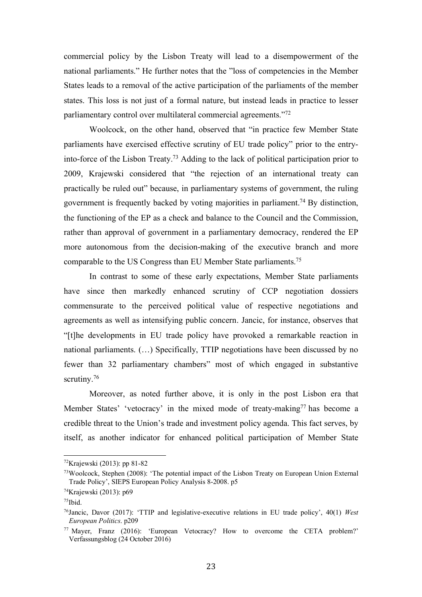commercial policy by the Lisbon Treaty will lead to a disempowerment of the national parliaments." He further notes that the "loss of competencies in the Member States leads to a removal of the active participation of the parliaments of the member states. This loss is not just of a formal nature, but instead leads in practice to lesser parliamentary control over multilateral commercial agreements."72

Woolcock, on the other hand, observed that "in practice few Member State parliaments have exercised effective scrutiny of EU trade policy" prior to the entryinto-force of the Lisbon Treaty.73 Adding to the lack of political participation prior to 2009, Krajewski considered that "the rejection of an international treaty can practically be ruled out" because, in parliamentary systems of government, the ruling government is frequently backed by voting majorities in parliament.<sup>74</sup> By distinction, the functioning of the EP as a check and balance to the Council and the Commission, rather than approval of government in a parliamentary democracy, rendered the EP more autonomous from the decision-making of the executive branch and more comparable to the US Congress than EU Member State parliaments.<sup>75</sup>

In contrast to some of these early expectations, Member State parliaments have since then markedly enhanced scrutiny of CCP negotiation dossiers commensurate to the perceived political value of respective negotiations and agreements as well as intensifying public concern. Jancic, for instance, observes that "[t]he developments in EU trade policy have provoked a remarkable reaction in national parliaments. (…) Specifically, TTIP negotiations have been discussed by no fewer than 32 parliamentary chambers" most of which engaged in substantive scrutiny.<sup>76</sup>

Moreover, as noted further above, it is only in the post Lisbon era that Member States' 'vetocracy' in the mixed mode of treaty-making<sup>77</sup> has become a credible threat to the Union's trade and investment policy agenda. This fact serves, by itself, as another indicator for enhanced political participation of Member State

<sup>72</sup>Krajewski (2013): pp 81-82

<sup>73</sup>Woolcock, Stephen (2008): 'The potential impact of the Lisbon Treaty on European Union External Trade Policy', SIEPS European Policy Analysis 8-2008. p5

<sup>74</sup>Krajewski (2013): p69

 $75$ Ibid.

<sup>76</sup>Jancic, Davor (2017): 'TTIP and legislative-executive relations in EU trade policy', 40(1) *West European Politics*. p209

<sup>77</sup> Mayer, Franz (2016): 'European Vetocracy? How to overcome the CETA problem?' Verfassungsblog (24 October 2016)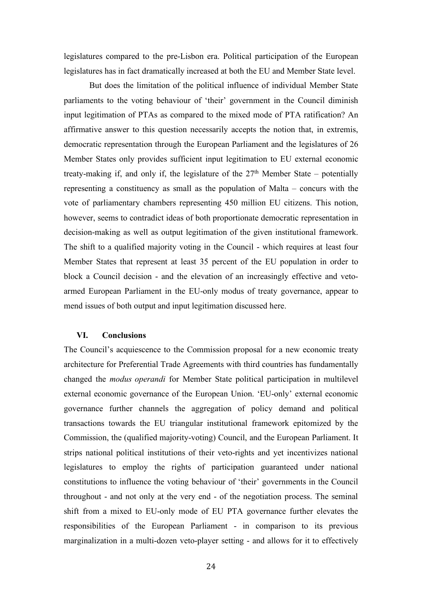legislatures compared to the pre-Lisbon era. Political participation of the European legislatures has in fact dramatically increased at both the EU and Member State level.

But does the limitation of the political influence of individual Member State parliaments to the voting behaviour of 'their' government in the Council diminish input legitimation of PTAs as compared to the mixed mode of PTA ratification? An affirmative answer to this question necessarily accepts the notion that, in extremis, democratic representation through the European Parliament and the legislatures of 26 Member States only provides sufficient input legitimation to EU external economic treaty-making if, and only if, the legislature of the  $27<sup>th</sup>$  Member State – potentially representing a constituency as small as the population of Malta – concurs with the vote of parliamentary chambers representing 450 million EU citizens. This notion, however, seems to contradict ideas of both proportionate democratic representation in decision-making as well as output legitimation of the given institutional framework. The shift to a qualified majority voting in the Council - which requires at least four Member States that represent at least 35 percent of the EU population in order to block a Council decision - and the elevation of an increasingly effective and vetoarmed European Parliament in the EU-only modus of treaty governance, appear to mend issues of both output and input legitimation discussed here.

# **VI. Conclusions**

The Council's acquiescence to the Commission proposal for a new economic treaty architecture for Preferential Trade Agreements with third countries has fundamentally changed the *modus operandi* for Member State political participation in multilevel external economic governance of the European Union. 'EU-only' external economic governance further channels the aggregation of policy demand and political transactions towards the EU triangular institutional framework epitomized by the Commission, the (qualified majority-voting) Council, and the European Parliament. It strips national political institutions of their veto-rights and yet incentivizes national legislatures to employ the rights of participation guaranteed under national constitutions to influence the voting behaviour of 'their' governments in the Council throughout - and not only at the very end - of the negotiation process. The seminal shift from a mixed to EU-only mode of EU PTA governance further elevates the responsibilities of the European Parliament - in comparison to its previous marginalization in a multi-dozen veto-player setting - and allows for it to effectively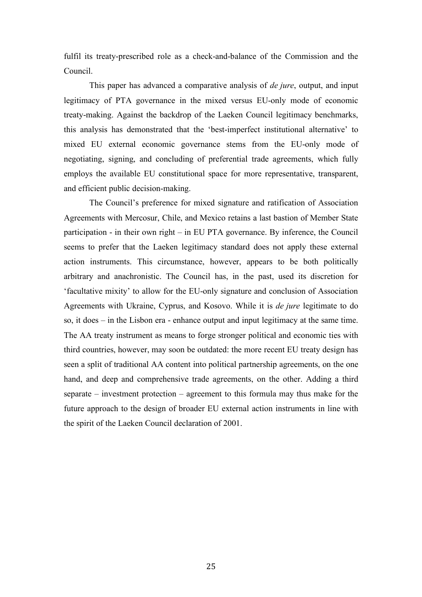fulfil its treaty-prescribed role as a check-and-balance of the Commission and the Council.

This paper has advanced a comparative analysis of *de jure*, output, and input legitimacy of PTA governance in the mixed versus EU-only mode of economic treaty-making. Against the backdrop of the Laeken Council legitimacy benchmarks, this analysis has demonstrated that the 'best-imperfect institutional alternative' to mixed EU external economic governance stems from the EU-only mode of negotiating, signing, and concluding of preferential trade agreements, which fully employs the available EU constitutional space for more representative, transparent, and efficient public decision-making.

The Council's preference for mixed signature and ratification of Association Agreements with Mercosur, Chile, and Mexico retains a last bastion of Member State participation - in their own right – in EU PTA governance. By inference, the Council seems to prefer that the Laeken legitimacy standard does not apply these external action instruments. This circumstance, however, appears to be both politically arbitrary and anachronistic. The Council has, in the past, used its discretion for 'facultative mixity' to allow for the EU-only signature and conclusion of Association Agreements with Ukraine, Cyprus, and Kosovo. While it is *de jure* legitimate to do so, it does – in the Lisbon era - enhance output and input legitimacy at the same time. The AA treaty instrument as means to forge stronger political and economic ties with third countries, however, may soon be outdated: the more recent EU treaty design has seen a split of traditional AA content into political partnership agreements, on the one hand, and deep and comprehensive trade agreements, on the other. Adding a third separate – investment protection – agreement to this formula may thus make for the future approach to the design of broader EU external action instruments in line with the spirit of the Laeken Council declaration of 2001.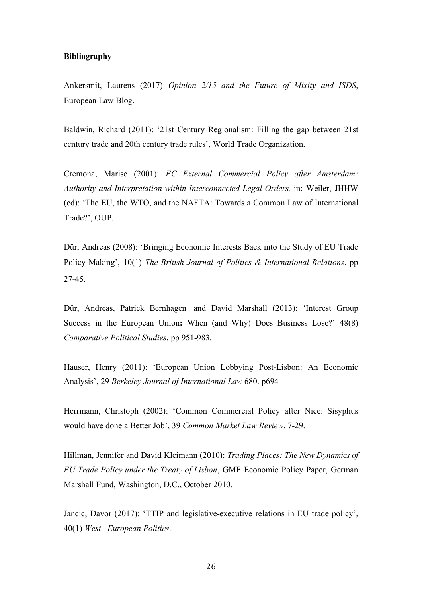### **Bibliography**

Ankersmit, Laurens (2017) *Opinion 2/15 and the Future of Mixity and ISDS*, European Law Blog.

Baldwin, Richard (2011): '21st Century Regionalism: Filling the gap between 21st century trade and 20th century trade rules', World Trade Organization.

Cremona, Marise (2001): *EC External Commercial Policy after Amsterdam: Authority and Interpretation within Interconnected Legal Orders,* in: Weiler, JHHW (ed): 'The EU, the WTO, and the NAFTA: Towards a Common Law of International Trade?', OUP.

Dür, Andreas (2008): 'Bringing Economic Interests Back into the Study of EU Trade Policy-Making', 10(1) *The British Journal of Politics & International Relations*. pp 27-45.

Dür, Andreas, Patrick Bernhagen and David Marshall (2013): 'Interest Group Success in the European Union**:** When (and Why) Does Business Lose?' 48(8) *Comparative Political Studies*, pp 951-983.

Hauser, Henry (2011): 'European Union Lobbying Post-Lisbon: An Economic Analysis', 29 *Berkeley Journal of International Law* 680. p694

Herrmann, Christoph (2002): 'Common Commercial Policy after Nice: Sisyphus would have done a Better Job', 39 *Common Market Law Review*, 7-29.

Hillman, Jennifer and David Kleimann (2010): *Trading Places: The New Dynamics of EU Trade Policy under the Treaty of Lisbon*, GMF Economic Policy Paper, German Marshall Fund, Washington, D.C., October 2010.

Jancic, Davor (2017): 'TTIP and legislative-executive relations in EU trade policy', 40(1) *West European Politics*.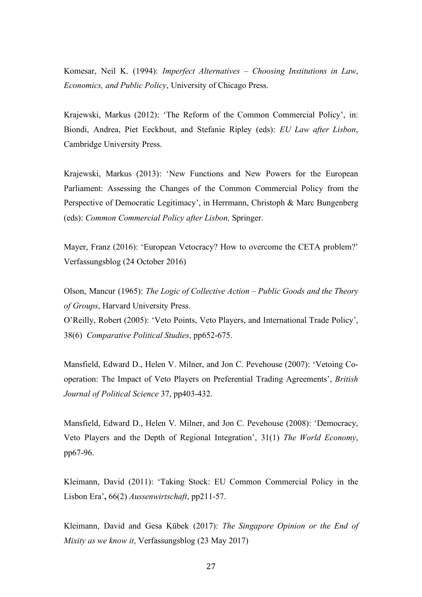Komesar, Neil K. (1994): *Imperfect Alternatives – Choosing Institutions in Law*, *Economics, and Public Policy*, University of Chicago Press.

Krajewski, Markus (2012): 'The Reform of the Common Commercial Policy', in: Biondi, Andrea, Piet Eeckhout, and Stefanie Ripley (eds): *EU Law after Lisbon*, Cambridge University Press.

Krajewski, Markus (2013): 'New Functions and New Powers for the European Parliament: Assessing the Changes of the Common Commercial Policy from the Perspective of Democratic Legitimacy', in Herrmann, Christoph & Marc Bungenberg (eds): *Common Commercial Policy after Lisbon,* Springer.

Mayer, Franz (2016): 'European Vetocracy? How to overcome the CETA problem?' Verfassungsblog (24 October 2016)

Olson, Mancur (1965): *The Logic of Collective Action – Public Goods and the Theory of Groups*, Harvard University Press.

O'Reilly, Robert (2005): 'Veto Points, Veto Players, and International Trade Policy', 38(6) *Comparative Political Studies*, pp652-675.

Mansfield, Edward D., Helen V. Milner, and Jon C. Pevehouse (2007): 'Vetoing Cooperation: The Impact of Veto Players on Preferential Trading Agreements', *British Journal of Political Science* 37, pp403-432.

Mansfield, Edward D., Helen V. Milner, and Jon C. Pevehouse (2008): 'Democracy, Veto Players and the Depth of Regional Integration', 31(1) *The World Economy*, pp67-96.

Kleimann, David (2011): 'Taking Stock: EU Common Commercial Policy in the Lisbon Era'**,** 66(2) *Aussenwirtschaft*, pp211-57.

Kleimann, David and Gesa Kübek (2017): *The Singapore Opinion or the End of Mixity as we know it*, Verfassungsblog (23 May 2017)